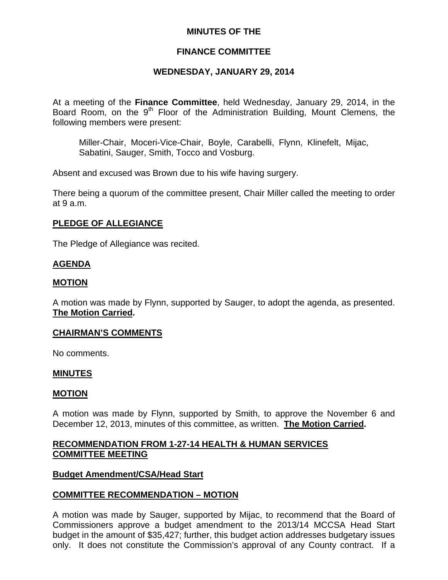## **MINUTES OF THE**

# **FINANCE COMMITTEE**

# **WEDNESDAY, JANUARY 29, 2014**

At a meeting of the **Finance Committee**, held Wednesday, January 29, 2014, in the Board Room, on the  $9<sup>th</sup>$  Floor of the Administration Building, Mount Clemens, the following members were present:

Miller-Chair, Moceri-Vice-Chair, Boyle, Carabelli, Flynn, Klinefelt, Mijac, Sabatini, Sauger, Smith, Tocco and Vosburg.

Absent and excused was Brown due to his wife having surgery.

There being a quorum of the committee present, Chair Miller called the meeting to order at 9 a.m.

# **PLEDGE OF ALLEGIANCE**

The Pledge of Allegiance was recited.

# **AGENDA**

#### **MOTION**

A motion was made by Flynn, supported by Sauger, to adopt the agenda, as presented. **The Motion Carried.** 

#### **CHAIRMAN'S COMMENTS**

No comments.

#### **MINUTES**

#### **MOTION**

A motion was made by Flynn, supported by Smith, to approve the November 6 and December 12, 2013, minutes of this committee, as written. **The Motion Carried.** 

# **RECOMMENDATION FROM 1-27-14 HEALTH & HUMAN SERVICES COMMITTEE MEETING**

#### **Budget Amendment/CSA/Head Start**

# **COMMITTEE RECOMMENDATION – MOTION**

A motion was made by Sauger, supported by Mijac, to recommend that the Board of Commissioners approve a budget amendment to the 2013/14 MCCSA Head Start budget in the amount of \$35,427; further, this budget action addresses budgetary issues only. It does not constitute the Commission's approval of any County contract. If a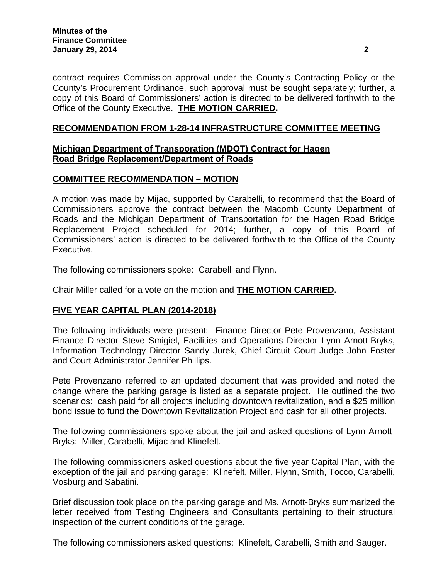contract requires Commission approval under the County's Contracting Policy or the County's Procurement Ordinance, such approval must be sought separately; further, a copy of this Board of Commissioners' action is directed to be delivered forthwith to the Office of the County Executive. **THE MOTION CARRIED.** 

#### **RECOMMENDATION FROM 1-28-14 INFRASTRUCTURE COMMITTEE MEETING**

# **Michigan Department of Transporation (MDOT) Contract for Hagen Road Bridge Replacement/Department of Roads**

# **COMMITTEE RECOMMENDATION – MOTION**

A motion was made by Mijac, supported by Carabelli, to recommend that the Board of Commissioners approve the contract between the Macomb County Department of Roads and the Michigan Department of Transportation for the Hagen Road Bridge Replacement Project scheduled for 2014; further, a copy of this Board of Commissioners' action is directed to be delivered forthwith to the Office of the County Executive.

The following commissioners spoke: Carabelli and Flynn.

Chair Miller called for a vote on the motion and **THE MOTION CARRIED.** 

# **FIVE YEAR CAPITAL PLAN (2014-2018)**

The following individuals were present: Finance Director Pete Provenzano, Assistant Finance Director Steve Smigiel, Facilities and Operations Director Lynn Arnott-Bryks, Information Technology Director Sandy Jurek, Chief Circuit Court Judge John Foster and Court Administrator Jennifer Phillips.

Pete Provenzano referred to an updated document that was provided and noted the change where the parking garage is listed as a separate project. He outlined the two scenarios: cash paid for all projects including downtown revitalization, and a \$25 million bond issue to fund the Downtown Revitalization Project and cash for all other projects.

The following commissioners spoke about the jail and asked questions of Lynn Arnott-Bryks: Miller, Carabelli, Mijac and Klinefelt.

The following commissioners asked questions about the five year Capital Plan, with the exception of the jail and parking garage: Klinefelt, Miller, Flynn, Smith, Tocco, Carabelli, Vosburg and Sabatini.

Brief discussion took place on the parking garage and Ms. Arnott-Bryks summarized the letter received from Testing Engineers and Consultants pertaining to their structural inspection of the current conditions of the garage.

The following commissioners asked questions: Klinefelt, Carabelli, Smith and Sauger.